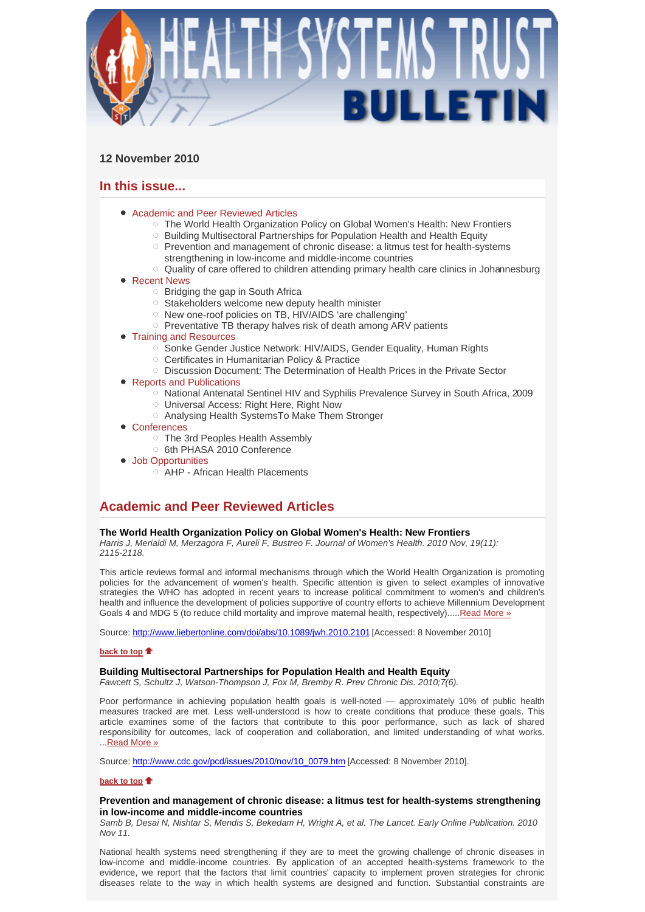

# **12 November 2010**

# **In this issue...**

- Academic and Peer Reviewed Articles
	- $\circ$  The World Health Organization Policy on Global Women's Health: New Frontiers
	- Building Multisectoral Partnerships for Population Health and Health Equity  $\circ$  Prevention and management of chronic disease: a litmus test for health-systems
	- strengthening in low-income and middle-income countries Quality of care offered to children attending primary health care clinics in Johannesburg
- Recent News
	- $\circ$  Bridging the gap in South Africa
	- $\circ$  Stakeholders welcome new deputy health minister
	- o New one-roof policies on TB, HIV/AIDS 'are challenging'
	- $\circ$  Preventative TB therapy halves risk of death among ARV patients

# **• Training and Resources**

- o Sonke Gender Justice Network: HIV/AIDS, Gender Equality, Human Rights
- Certificates in Humanitarian Policy & Practice
- $\circ$  Discussion Document: The Determination of Health Prices in the Private Sector
- Reports and Publications
	- o National Antenatal Sentinel HIV and Syphilis Prevalence Survey in South Africa, 2009
	- Universal Access: Right Here, Right Now
	- Analysing Health SystemsTo Make Them Stronger
- Conferences
	- The 3rd Peoples Health Assembly
	- <sup>O</sup> 6th PHASA 2010 Conference
- Job Opportunities
	- AHP African Health Placements

# **Academic and Peer Reviewed Articles**

# **The World Health Organization Policy on Global Women's Health: New Frontiers**

*Harris J, Merialdi M, Merzagora F, Aureli F, Bustreo F. Journal of Women's Health. 2010 Nov, 19(11): 2115-2118.* 

This article reviews formal and informal mechanisms through which the World Health Organization is promoting policies for the advancement of women's health. Specific attention is given to select examples of innovative strategies the WHO has adopted in recent years to increase political commitment to women's and children's health and influence the development of policies supportive of country efforts to achieve Millennium Development Goals 4 and MDG 5 (to reduce child mortality and improve maternal health, respectively).....Read More »

Source: http://www.liebertonline.com/doi/abs/10.1089/jwh.2010.2101 [Accessed: 8 November 2010]

## **back to top**

# **Building Multisectoral Partnerships for Population Health and Health Equity**

*Fawcett S, Schultz J, Watson-Thompson J, Fox M, Bremby R. Prev Chronic Dis. 2010;7(6).* 

Poor performance in achieving population health goals is well-noted — approximately 10% of public health measures tracked are met. Less well-understood is how to create conditions that produce these goals. This article examines some of the factors that contribute to this poor performance, such as lack of shared responsibility for outcomes, lack of cooperation and collaboration, and limited understanding of what works. ...Read More »

Source: http://www.cdc.gov/pcd/issues/2010/nov/10\_0079.htm [Accessed: 8 November 2010].

## **back to top**

## **Prevention and management of chronic disease: a litmus test for health-systems strengthening in low-income and middle-income countries**

*Samb B, Desai N, Nishtar S, Mendis S, Bekedam H, Wright A, et al. The Lancet. Early Online Publication. 2010 Nov 11.* 

National health systems need strengthening if they are to meet the growing challenge of chronic diseases in low-income and middle-income countries. By application of an accepted health-systems framework to the evidence, we report that the factors that limit countries' capacity to implement proven strategies for chronic diseases relate to the way in which health systems are designed and function. Substantial constraints are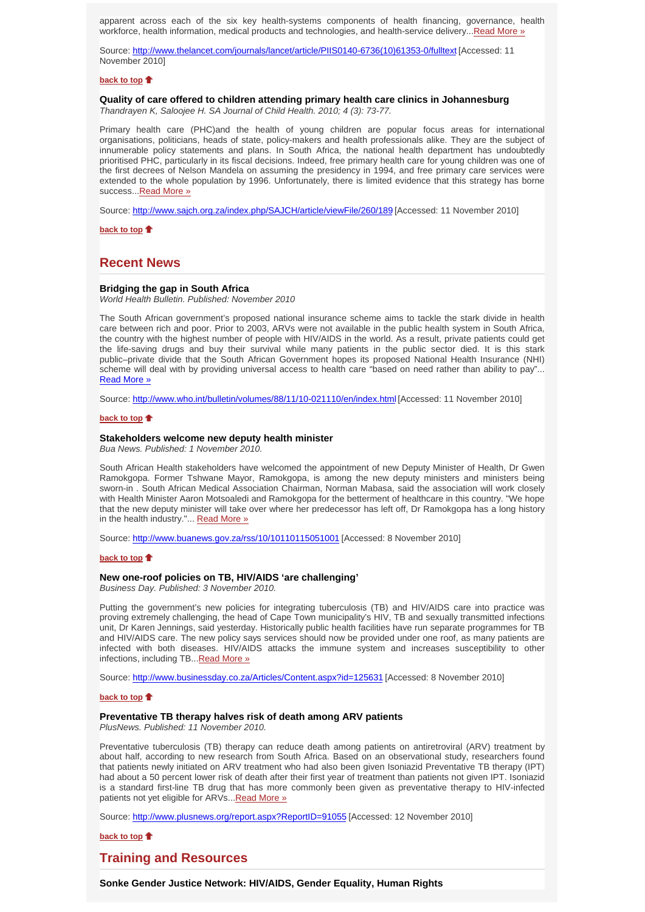apparent across each of the six key health-systems components of health financing, governance, health workforce, health information, medical products and technologies, and health-service delivery...Read More »

Source: http://www.thelancet.com/journals/lancet/article/PIIS0140-6736(10)61353-0/fulltext [Accessed: 11 November 2010]

## **back to top**

# **Quality of care offered to children attending primary health care clinics in Johannesburg**

*Thandrayen K, Saloojee H. SA Journal of Child Health. 2010; 4 (3): 73-77.* 

Primary health care (PHC)and the health of young children are popular focus areas for international organisations, politicians, heads of state, policy-makers and health professionals alike. They are the subject of innumerable policy statements and plans. In South Africa, the national health department has undoubtedly prioritised PHC, particularly in its fiscal decisions. Indeed, free primary health care for young children was one of the first decrees of Nelson Mandela on assuming the presidency in 1994, and free primary care services were extended to the whole population by 1996. Unfortunately, there is limited evidence that this strategy has borne success...Read More »

Source: http://www.sajch.org.za/index.php/SAJCH/article/viewFile/260/189 [Accessed: 11 November 2010]

**back to top**

# **Recent News**

#### **Bridging the gap in South Africa**

*World Health Bulletin. Published: November 2010*

The South African government's proposed national insurance scheme aims to tackle the stark divide in health care between rich and poor. Prior to 2003, ARVs were not available in the public health system in South Africa, the country with the highest number of people with HIV/AIDS in the world. As a result, private patients could get the life-saving drugs and buy their survival while many patients in the public sector died. It is this stark public–private divide that the South African Government hopes its proposed National Health Insurance (NHI) scheme will deal with by providing universal access to health care "based on need rather than ability to pay"... Read More »

Source: http://www.who.int/bulletin/volumes/88/11/10-021110/en/index.html [Accessed: 11 November 2010]

### **back to top**

# **Stakeholders welcome new deputy health minister**

*Bua News. Published: 1 November 2010.*

South African Health stakeholders have welcomed the appointment of new Deputy Minister of Health, Dr Gwen Ramokgopa. Former Tshwane Mayor, Ramokgopa, is among the new deputy ministers and ministers being sworn-in . South African Medical Association Chairman, Norman Mabasa, said the association will work closely with Health Minister Aaron Motsoaledi and Ramokgopa for the betterment of healthcare in this country. "We hope that the new deputy minister will take over where her predecessor has left off, Dr Ramokgopa has a long history in the health industry."... Read More »

Source: http://www.buanews.gov.za/rss/10/10110115051001 [Accessed: 8 November 2010]

#### **back to top**

## **New one-roof policies on TB, HIV/AIDS 'are challenging'**

*Business Day. Published: 3 November 2010.*

Putting the government's new policies for integrating tuberculosis (TB) and HIV/AIDS care into practice was proving extremely challenging, the head of Cape Town municipality's HIV, TB and sexually transmitted infections unit, Dr Karen Jennings, said yesterday. Historically public health facilities have run separate programmes for TB and HIV/AIDS care. The new policy says services should now be provided under one roof, as many patients are infected with both diseases. HIV/AIDS attacks the immune system and increases susceptibility to other infections, including TB...Read More »

Source: http://www.businessday.co.za/Articles/Content.aspx?id=125631 [Accessed: 8 November 2010]

#### **back to top**

### **Preventative TB therapy halves risk of death among ARV patients**

*PlusNews. Published: 11 November 2010.*

Preventative tuberculosis (TB) therapy can reduce death among patients on antiretroviral (ARV) treatment by about half, according to new research from South Africa. Based on an observational study, researchers found that patients newly initiated on ARV treatment who had also been given Isoniazid Preventative TB therapy (IPT) had about a 50 percent lower risk of death after their first year of treatment than patients not given IPT. Isoniazid is a standard first-line TB drug that has more commonly been given as preventative therapy to HIV-infected patients not yet eligible for ARVs... Read More »

Source: http://www.plusnews.org/report.aspx?ReportID=91055 [Accessed: 12 November 2010]

**back to top**

# **Training and Resources**

**Sonke Gender Justice Network: HIV/AIDS, Gender Equality, Human Rights**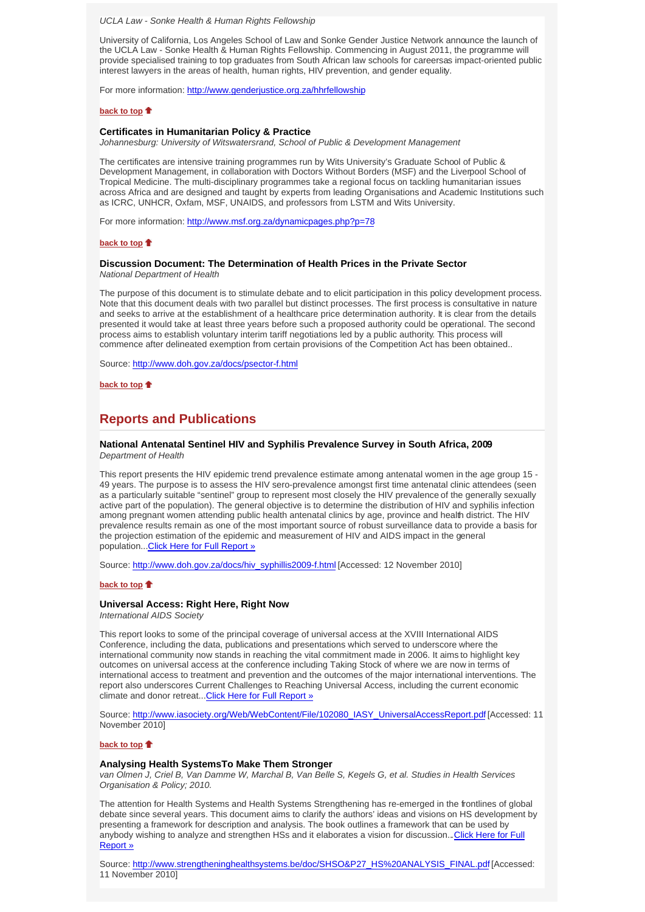*UCLA Law - Sonke Health & Human Rights Fellowship*

University of California, Los Angeles School of Law and Sonke Gender Justice Network announce the launch of the UCLA Law - Sonke Health & Human Rights Fellowship. Commencing in August 2011, the programme will provide specialised training to top graduates from South African law schools for careersas impact-oriented public interest lawyers in the areas of health, human rights, HIV prevention, and gender equality.

For more information: http://www.genderjustice.org.za/hhrfellowship

### **back to top**

#### **Certificates in Humanitarian Policy & Practice**

*Johannesburg: University of Witswatersrand, School of Public & Development Management*

The certificates are intensive training programmes run by Wits University's Graduate School of Public & Development Management, in collaboration with Doctors Without Borders (MSF) and the Liverpool School of Tropical Medicine. The multi-disciplinary programmes take a regional focus on tackling humanitarian issues across Africa and are designed and taught by experts from leading Organisations and Academic Institutions such as ICRC, UNHCR, Oxfam, MSF, UNAIDS, and professors from LSTM and Wits University.

For more information: http://www.msf.org.za/dynamicpages.php?p=78

#### **back to top**

#### **Discussion Document: The Determination of Health Prices in the Private Sector** *National Department of Health*

The purpose of this document is to stimulate debate and to elicit participation in this policy development process. Note that this document deals with two parallel but distinct processes. The first process is consultative in nature and seeks to arrive at the establishment of a healthcare price determination authority. It is clear from the details presented it would take at least three years before such a proposed authority could be operational. The second process aims to establish voluntary interim tariff negotiations led by a public authority. This process will commence after delineated exemption from certain provisions of the Competition Act has been obtained..

Source: http://www.doh.gov.za/docs/psector-f.html

**back to top**

# **Reports and Publications**

#### **National Antenatal Sentinel HIV and Syphilis Prevalence Survey in South Africa, 2009**  *Department of Health*

This report presents the HIV epidemic trend prevalence estimate among antenatal women in the age group 15 - 49 years. The purpose is to assess the HIV sero-prevalence amongst first time antenatal clinic attendees (seen as a particularly suitable "sentinel" group to represent most closely the HIV prevalence of the generally sexually active part of the population). The general objective is to determine the distribution of HIV and syphilis infection among pregnant women attending public health antenatal clinics by age, province and health district. The HIV prevalence results remain as one of the most important source of robust surveillance data to provide a basis for the projection estimation of the epidemic and measurement of HIV and AIDS impact in the general population...Click Here for Full Report »

Source: http://www.doh.gov.za/docs/hiv\_syphillis2009-f.html [Accessed: 12 November 2010]

## **back to top**

#### **Universal Access: Right Here, Right Now**

*International AIDS Society*

This report looks to some of the principal coverage of universal access at the XVIII International AIDS Conference, including the data, publications and presentations which served to underscore where the international community now stands in reaching the vital commitment made in 2006. It aims to highlight key outcomes on universal access at the conference including Taking Stock of where we are now in terms of international access to treatment and prevention and the outcomes of the major international interventions. The report also underscores Current Challenges to Reaching Universal Access, including the current economic climate and donor retreat...Click Here for Full Report »

Source: http://www.iasociety.org/Web/WebContent/File/102080\_IASY\_UniversalAccessReport.pdf [Accessed: 11 November 2010]

## **back to top**

### **Analysing Health SystemsTo Make Them Stronger**

*van Olmen J, Criel B, Van Damme W, Marchal B, Van Belle S, Kegels G, et al. Studies in Health Services Organisation & Policy; 2010.*

The attention for Health Systems and Health Systems Strengthening has re-emerged in the frontlines of global debate since several years. This document aims to clarify the authors' ideas and visions on HS development by presenting a framework for description and analysis. The book outlines a framework that can be used by anybody wishing to analyze and strengthen HSs and it elaborates a vision for discussion...Click Here for Full Report »

Source: http://www.strengtheninghealthsystems.be/doc/SHSO&P27\_HS%20ANALYSIS\_FINAL.pdf [Accessed: 11 November 2010]